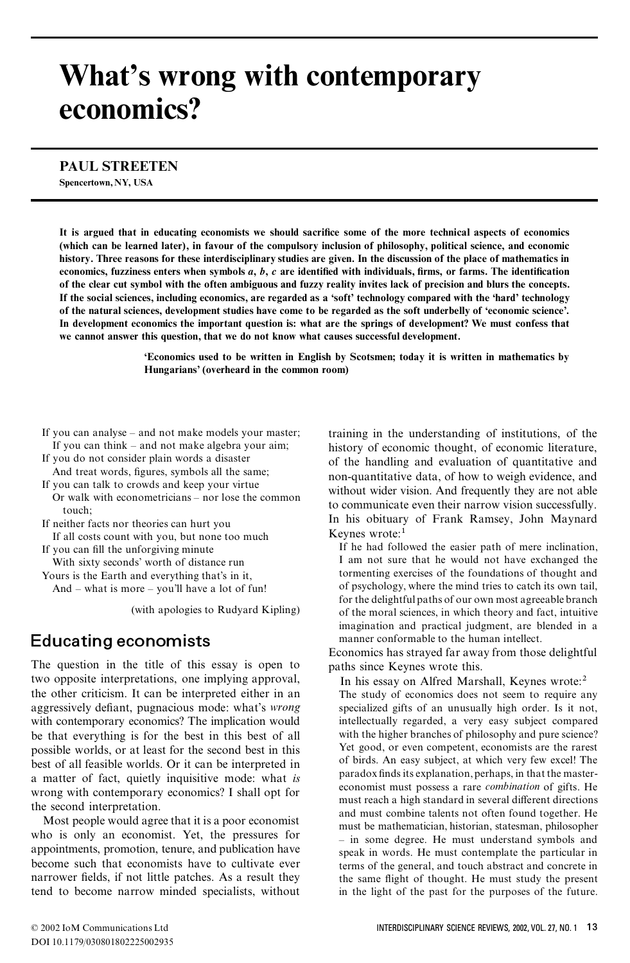# **What's wrong with contemporary economics?**

## **PAUL STREETEN**

**Spencertown, NY, USA**

It is argued that in educating economists we should sacrifice some of the more technical aspects of economics (which can be learned later), in favour of the compulsory inclusion of philosophy, political science, and economic history. Three reasons for these interdisciplinary studies are given. In the discussion of the place of mathematics in economics, fuzziness enters when symbols  $a, b, c$  are identified with individuals, firms, or farms. The identification of the clear cut symbol with the often ambiguous and fuzzy reality invites lack of precision and blurs the concepts. If the social sciences, including economics, are regarded as a 'soft' technology compared with the 'hard' technology of the natural sciences, development studies have come to be regarded as the soft underbelly of 'economic science'. In development economics the important question is: what are the springs of development? We must confess that **we cannot answer this question, that we do not know what causes successful development.**

> **'Economics used to be written in English by Scotsmen; today it is written in mathematics by Hungarians' (overheard in the common room)**

- 
- 
- 
- If all costs count with you, but none too much
- 
- And what is more you'll have a lot of fun!

The question in the title of this essay is open to paths since Keynes wrote this. two opposite interpretations, one implying approval,<br>the other criticism. It can be interpreted either in an The study of economics does not seem to require an aggressively defiant, pugnacious mode: what's *wrong* specialized gifts of an unusually high order. Is it not, with contemporary economics? The implication would intellectually regarded, a very easy subject compared be that everything is for the best in this best of all with the higher branches of philosophy and pure science?<br>
possible worlds or at least for the second best in this Yet good, or even competent, economists are the rares possible worlds, or at least for the second best in this Yet good, or even competent, economists are the rarest<br>heat of all feasible worlds. Or it can be interpreted in of birds. An easy subject, at which very few excel! T best of all feasible worlds. Or it can be interpreted in behinds. An easy subject, at which very few excel! The best of fect quietly inquisitive mode: what is paradox finds its explanation, perhaps, in that the mastera matter of fact, quietly inquisitive mode: what *is* wrong with contemporary economics? I shall opt for

appointments, promotion, tenure, and publication have speak in words. He must contemplate the particular in become such that economists have to cultivate ever terms of the general and touch abstract and concrete in narrower fields, if not little patches. As a result they the same flight of thought. He must study the present tend to become narrow minded specialists, without in the light of the past for the purposes of the future.

If you can analyse – and not make models your master; training in the understanding of institutions, of the If you can think – and not make algebra your aim;<br>If you do not consider plain words a disaster of the handling and evaluation of quantitative and If you do not consider plain words a disaster of the handling and evaluation of quantitative and<br>And treat words, figures, symbols all the same;<br>and a consideration of how to waish avidence and And treat words, ngures, symbols an the same,<br>  $\frac{1}{2}$  non-quantitative data, of how to weigh evidence, and<br>  $\frac{1}{2}$  is the same of the same of the same of the same of the same of the same of the same of the If you can talk to crowds and keep your virtue without wider vision. And frequently they are not able Or walk with econometricians – nor lose the common to communicate even their narrow vision successfully.<br>
If neither facts nor theories can hurt you  $\mu$  In his obituary of Frank Ramsey, John Maynard If all costs count with you but none too much Revnes wrote:<sup>1</sup>

If you can fill the unforgiving minute If he had followed the easier path of mere inclination, With sixty seconds' worth of distance run state is a sixty seconds' worth of distance run state is a sixty seconds' worth of distance run state is a sixty second state of the sixty seconds' worth of distance run state is a Yours is the Earth and everything that's in it, tormenting exercises of the foundations of thought and<br>And – what is more – you'll have a lot of fun! of psychology, where the mind tries to catch its own tail, for the delightful paths of our own most agreeable branch (with apologies to Rudyard Kipling) of the moral sciences, in which theory and fact, intuitive imagination and practical judgment, are blended in a **Educating economists** manner conformable to the human intellect.

Economics has strayed far away from those delightful

The study of economics does not seem to require any economist must possess a rare *combination* of gifts. He which contemporary economies: T shan opt for<br>the second interpretation.<br>Most people would agree that it is a poor economist<br>who is only an economist. Yet, the pressures for<br>in some degree. He must understand symbols and terms of the general, and touch abstract and concrete in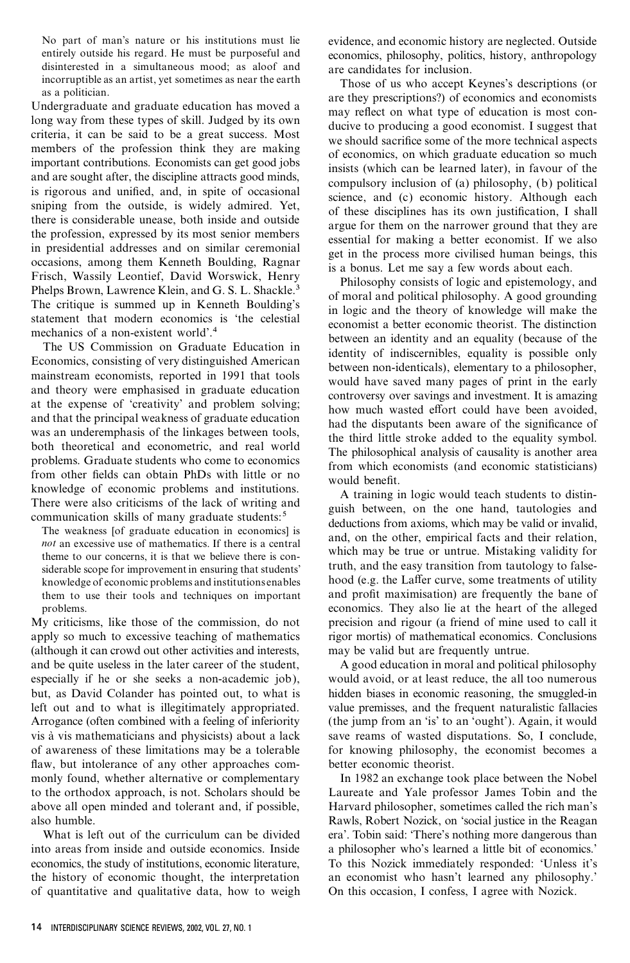disinterested in a simultaneous mood; as aloof and are candidates for inclusion.<br>incorruptible as an artist, yet sometimes as near the earth Those of us who accent to

long way from these types of skill. Judged by its own<br>criteria, it can be said to be a great success. Most<br>we should sacrifice some of the more technical aspects examples of the profession think they are making<br>important contributions. Economists can get good jobs<br>and are sought after, the discipline attracts good minds,<br>is rigorous and unified, and, in spite of occasional<br>sniping the profession, expressed by its most senior members<br>in presidential addresses and on similar ceremonial<br>occasions, among them Kenneth Boulding, Ragnar<br>Frisch, Wassily Leontief, David Worswick, Henry<br>Phelps Brown, Lawrence

at the expense of 'creativity' and problem solving;<br>and that the principal weakness of graduate education was an underemphasis of the linkages between tools,<br>was an underemphasis of the linkages between tools, was an underemphasis of the linkages between tools,<br>both theoretical and econometric, and real world<br>problems. Graduate students who come to economics<br>from other fields can obtain PhDs with little or no<br>from which economis

My criticisms, like those of the commission, do not precision and rigour (a friend of mine used to call it apply so much to excessive teaching of mathematics rigor mortis) of mathematical economics. Conclusions (although it can crowd out other activities and interests, may be valid but are frequently untrue. and be quite useless in the later career of the student,  $\overline{A}$  good education in moral and political philosophy especially if he or she seeks a non-academic job), would avoid, or at least reduce, the all too numerous but, as David Colander has pointed out, to what is hidden biases in economic reasoning, the smuggled-in left out and to what is illegitimately appropriated. value premisses, and the frequent naturalistic fallacies Arrogance (often combined with a feeling of inferiority (the jump from an 'is' to an 'ought'). Again, it would vis a` vis mathematicians and physicists) about a lack save reams of wasted disputations. So, I conclude, of awareness of these limitations may be a tolerable for knowing philosophy, the economist becomes a flaw, but intolerance of any other approaches com-<br>better economic theorist. monly found, whether alternative or complementary In 1982 an exchange took place between the Nobel to the orthodox approach, is not. Scholars should be Laureate and Yale professor James Tobin and the above all open minded and tolerant and, if possible, Harvard philosopher, sometimes called the rich man's also humble. Rawls, Robert Nozick, on 'social justice in the Reagan

into areas from inside and outside economics. Inside a philosopher who's learned a little bit of economics.' economics, the study of institutions, economic literature, To this Nozick immediately responded: 'Unless it's the history of economic thought, the interpretation an economist who hasn't learned any philosophy.' of quantitative and qualitative data, how to weigh On this occasion, I confess, I agree with Nozick.

No part of man's nature or his institutions must lie evidence, and economic history are neglected. Outside entirely outside his regard. He must be purposeful and economics, philosophy, politics, history, anthropology

incorruptible as an artist, yet sometimes as near the earth<br>as a politician.<br>Undergraduate and graduate education has moved a<br>and reflect on what type of education is most con-

in logic and the theory of knowledge will make the statement that modern economics is 'the celestial<br>
mechanics of a non-existent world'.<sup>4</sup><br>
The US Commission on Graduate Education in<br>
Economics, consisting of very distinguished American<br>
mainstream economics, reported in

siderable scope for improvement in ensuring that students' truth, and the easy transition from tautology to false-<br>knowledge of economic problems and institutions enables hood (e.g. the Laffer curve, some treatments of uti them to use their tools and techniques on important and profit maximisation) are frequently the bane of problems. economics. They also lie at the heart of the alleged

What is left out of the curriculum can be divided era'. Tobin said: 'There's nothing more dangerous than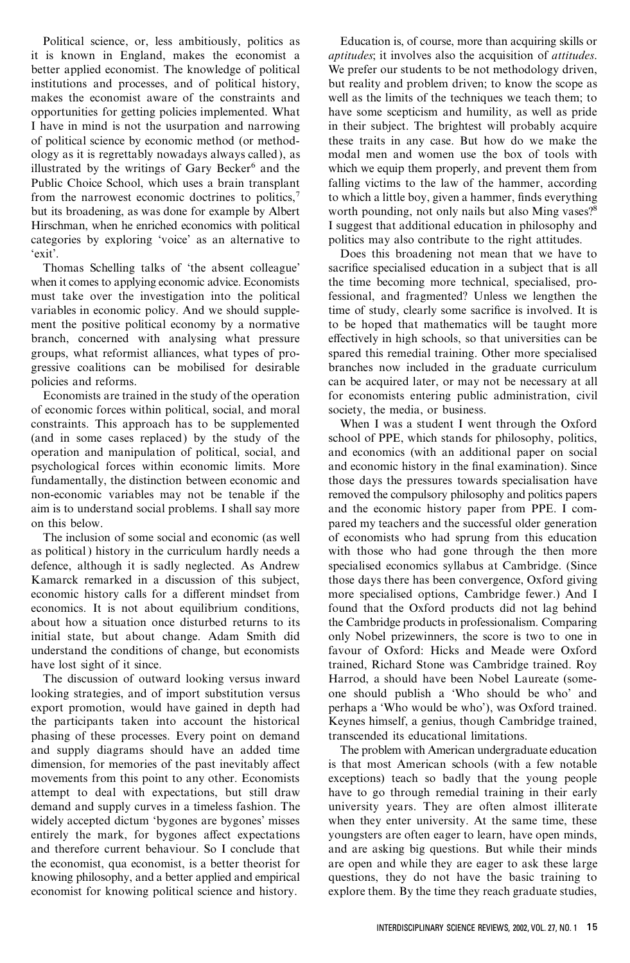Political science, or, less ambitiously, politics as Education is, of course, more than acquiring skills or it is known in England, makes the economist a *aptitudes*; it involves also the acquisition of *attitudes*. better applied economist. The knowledge of political We prefer our students to be not methodology driven, institutions and processes, and of political history, but reality and problem driven; to know the scope as makes the economist aware of the constraints and well as the limits of the techniques we teach them; to opportunities for getting policies implemented. What have some scepticism and humility, as well as pride I have in mind is not the usurpation and narrowing in their subject. The brightest will probably acquire of political science by economic method (or method- these traits in any case. But how do we make the ology as it is regrettably nowadays always called), as modal men and women use the box of tools with illustrated by the writings of Gary Becker<sup>6</sup> and the which we equip them properly, and prevent them from Public Choice School, which uses a brain transplant falling victims to the law of the hammer, according from the narrowest economic doctrines to politics,<sup>7</sup> to which a little boy, given a hammer, finds everything but its broadening, as was done for example by Albert worth pounding, not only nails but also Ming vases?<sup>8</sup> Hirschman, when he enriched economics with political I suggest that additional education in philosophy and categories by exploring 'voice' as an alternative to politics may also contribute to the right attitudes. 'exit'. Does this broadening not mean that we have to

when it comes to applying economic advice. Economists the time becoming more technical, specialised, promust take over the investigation into the political fessional, and fragmented? Unless we lengthen the variables in economic policy. And we should supple-<br>time of study, clearly some sacrifice is involved. It is ment the positive political economy by a normative to be hoped that mathematics will be taught more branch, concerned with analysing what pressure effectively in high schools, so that universities can be groups, what reformist alliances, what types of pro- spared this remedial training. Other more specialised gressive coalitions can be mobilised for desirable branches now included in the graduate curriculum policies and reforms. The can be acquired later, or may not be necessary at all

of economic forces within political, social, and moral society, the media, or business. constraints. This approach has to be supplemented When I was a student I went through the Oxford (and in some cases replaced) by the study of the school of PPE, which stands for philosophy, politics, operation and manipulation of political, social, and and economics (with an additional paper on social psychological forces within economic limits. More and economic history in the nal examination). Since fundamentally, the distinction between economic and those days the pressures towards specialisation have non-economic variables may not be tenable if the removed the compulsory philosophy and politics papers aim is to understand social problems. I shall say more and the economic history paper from PPE. I comon this below. pared my teachers and the successful older generation

as political ) history in the curriculum hardly needs a with those who had gone through the then more defence, although it is sadly neglected. As Andrew specialised economics syllabus at Cambridge. (Since Kamarck remarked in a discussion of this subject, those days there has been convergence, Oxford giving economic history calls for a different mindset from more specialised options, Cambridge fewer.) And I economics. It is not about equilibrium conditions, found that the Oxford products did not lag behind about how a situation once disturbed returns to its the Cambridge products in professionalism. Comparing initial state, but about change. Adam Smith did only Nobel prizewinners, the score is two to one in understand the conditions of change, but economists favour of Oxford: Hicks and Meade were Oxford

looking strategies, and of import substitution versus one should publish a 'Who should be who' and export promotion, would have gained in depth had perhaps a 'Who would be who'), was Oxford trained. the participants taken into account the historical Keynes himself, a genius, though Cambridge trained, phasing of these processes. Every point on demand transcended its educational limitations. and supply diagrams should have an added time The problem with American undergraduate education dimension, for memories of the past inevitably affect is that most American schools (with a few notable movements from this point to any other. Economists exceptions) teach so badly that the young people attempt to deal with expectations, but still draw have to go through remedial training in their early demand and supply curves in a timeless fashion. The university years. They are often almost illiterate widely accepted dictum 'bygones are bygones' misses when they enter university. At the same time, these entirely the mark, for bygones affect expectations youngsters are often eager to learn, have open minds, and therefore current behaviour. So I conclude that and are asking big questions. But while their minds the economist, qua economist, is a better theorist for are open and while they are eager to ask these large knowing philosophy, and a better applied and empirical questions, they do not have the basic training to economist for knowing political science and history. explore them. By the time they reach graduate studies,

Thomas Schelling talks of 'the absent colleague' sacrifice specialised education in a subject that is all Economists are trained in the study of the operation for economists entering public administration, civil

The inclusion of some social and economic (as well of economists who had sprung from this education have lost sight of it since. trained, Richard Stone was Cambridge trained. Roy The discussion of outward looking versus inward Harrod, a should have been Nobel Laureate (some-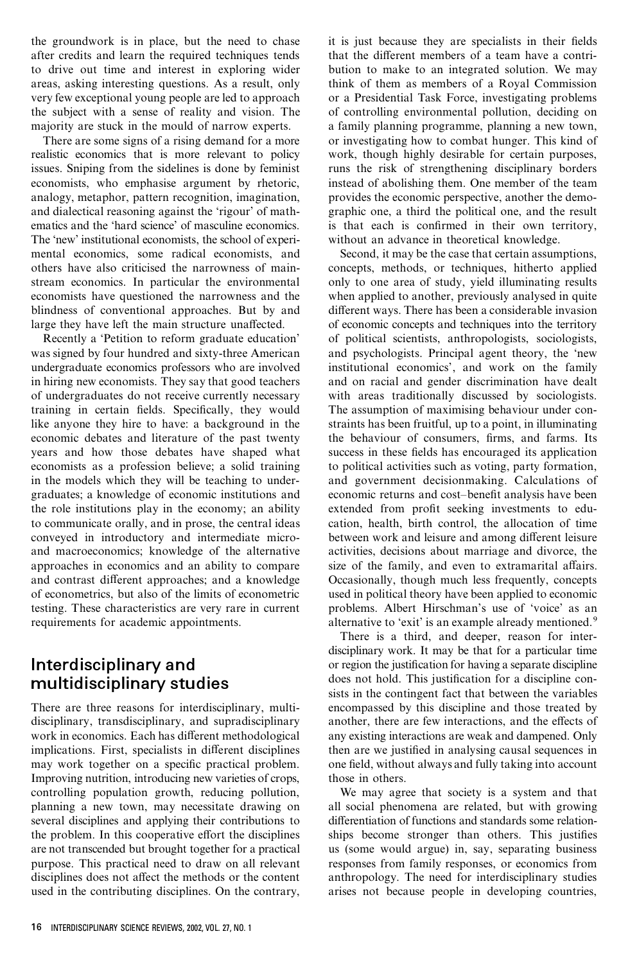the groundwork is in place, but the need to chase it is just because they are specialists in their fields after credits and learn the required techniques tends that the different members of a team have a contrito drive out time and interest in exploring wider bution to make to an integrated solution. We may areas, asking interesting questions. As a result, only think of them as members of a Royal Commission very few exceptional young people are led to approach or a Presidential Task Force, investigating problems the subject with a sense of reality and vision. The of controlling environmental pollution, deciding on majority are stuck in the mould of narrow experts. a family planning programme, planning a new town,

realistic economics that is more relevant to policy work, though highly desirable for certain purposes, issues. Sniping from the sidelines is done by feminist runs the risk of strengthening disciplinary borders economists, who emphasise argument by rhetoric, instead of abolishing them. One member of the team analogy, metaphor, pattern recognition, imagination, provides the economic perspective, another the demoand dialectical reasoning against the 'rigour' of math- graphic one, a third the political one, and the result ematics and the 'hard science' of masculine economics. is that each is confirmed in their own territory, The 'new' institutional economists, the school of experi- without an advance in theoretical knowledge. mental economics, some radical economists, and Second, it may be the case that certain assumptions, others have also criticised the narrowness of main- concepts, methods, or techniques, hitherto applied stream economics. In particular the environmental only to one area of study, yield illuminating results economists have questioned the narrowness and the when applied to another, previously analysed in quite blindness of conventional approaches. But by and different ways. There has been a considerable invasion

was signed by four hundred and sixty-three American and psychologists. Principal agent theory, the 'new undergraduate economics professors who are involved institutional economics', and work on the family in hiring new economists. They say that good teachers and on racial and gender discrimination have dealt of undergraduates do not receive currently necessary with areas traditionally discussed by sociologists. training in certain fields. Specifically, they would The assumption of maximising behaviour under conlike anyone they hire to have: a background in the straints has been fruitful, up to a point, in illuminating economic debates and literature of the past twenty the behaviour of consumers, firms, and farms. Its years and how those debates have shaped what success in these fields has encouraged its application economists as a profession believe; a solid training to political activities such as voting, party formation, in the models which they will be teaching to under- and government decisionmaking. Calculations of graduates; a knowledge of economic institutions and economic returns and cost–benefit analysis have been the role institutions play in the economy; an ability extended from profit seeking investments to eduto communicate orally, and in prose, the central ideas cation, health, birth control, the allocation of time conveyed in introductory and intermediate micro-<br>between work and leisure and among different leisure and macroeconomics; knowledge of the alternative activities, decisions about marriage and divorce, the approaches in economics and an ability to compare size of the family, and even to extramarital affairs. and contrast different approaches; and a knowledge Occasionally, though much less frequently, concepts of econometrics, but also of the limits of econometric used in political theory have been applied to economic testing. These characteristics are very rare in current problems. Albert Hirschman's use of 'voice' as an requirements for academic appointments. alternative to 'exit' is an example already mentioned.<sup>9</sup>

There are three reasons for interdisciplinary, multi- encompassed by this discipline and those treated by disciplinary, transdisciplinary, and supradisciplinary another, there are few interactions, and the effects of work in economics. Each has different methodological any existing interactions are weak and dampened. Only implications. First, specialists in different disciplines then are we justified in analysing causal sequences in may work together on a specific practical problem. one field, without always and fully taking into account Improving nutrition, introducing new varieties of crops, those in others. controlling population growth, reducing pollution, We may agree that society is a system and that planning a new town, may necessitate drawing on all social phenomena are related, but with growing several disciplines and applying their contributions to differentiation of functions and standards some relationthe problem. In this cooperative effort the disciplines ships become stronger than others. This justifies are not transcended but brought together for a practical us (some would argue) in, say, separating business purpose. This practical need to draw on all relevant responses from family responses, or economics from disciplines does not affect the methods or the content anthropology. The need for interdisciplinary studies used in the contributing disciplines. On the contrary, arises not because people in developing countries,

There are some signs of a rising demand for a more or investigating how to combat hunger. This kind of

large they have left the main structure unaffected.  $\qquad$  of economic concepts and techniques into the territory Recently a 'Petition to reform graduate education' of political scientists, anthropologists, sociologists,

There is a third, and deeper, reason for interdisciplinary work. It may be that for a particular time **Interdisciplinary and** or region the justification for having a separate discipline **multidisciplinary studies** does not hold. This justification for a discipline con-<br>sists in the contingent fact that between the variables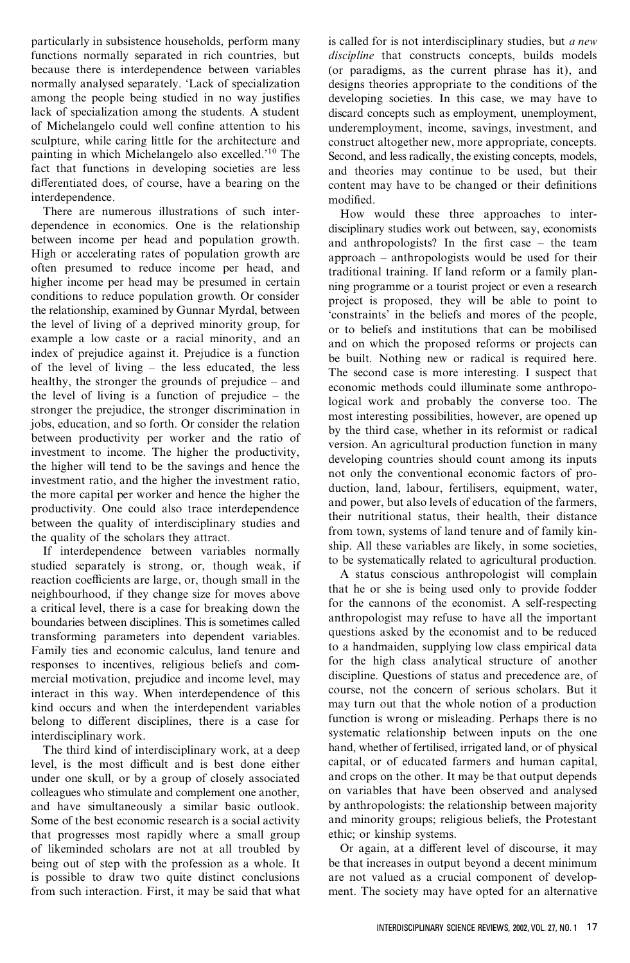particularly in subsistence households, perform many is called for is not interdisciplinary studies, but *a new* functions normally separated in rich countries, but *discipline* that constructs concepts, builds models because there is interdependence between variables (or paradigms, as the current phrase has it), and normally analysed separately. 'Lack of specialization designs theories appropriate to the conditions of the among the people being studied in no way justifies developing societies. In this case, we may have to lack of specialization among the students. A student discard concepts such as employment, unemployment, of Michelangelo could well confine attention to his underemployment, income, savings, investment, and of Michelangelo could well confine attention to his underemployment, income, savings, investment, and sculpture, while caring little for the architecture and construct altogether new, more appropriate, concepts, sculpture, while caring little for the architecture and construct altogether new, more appropriate, concepts.<br>
painting in which Michelangelo also excelled.<sup>10</sup> The Second, and less radically, the existing concepts, models painting in which Michelangelo also excelled.<sup>'10</sup> The Second, and less radically, the existing concepts, models, fact that functions in developing societies are less and theories may continue to be used but their fact that functions in developing societies are less and theories may continue to be used, but their differentiated does, of course, have a bearing on the content may have to be changed or their definitions

interdependence. modified.<br>There are numerous illustrations of such inter-<br>How y There are numerous illustrations of such inter-<br>dependence in economics. One is the relationship disciplinary studies work out between say economists dependence in economics. One is the relationship disciplinary studies work out between, say, economists between income per head and population growth. and anthropologists? In the first case – the team between income per head and population growth. and anthropologists? In the first case – the team<br>High or accelerating rates of population growth are<br>annoach – anthropologists would be used for their High or accelerating rates of population growth are approach – anthropologists would be used for their often presumed to reduce income per head, and traditional training If land reform or a family planoften presumed to reduce income per head, and traditional training. If land reform or a family plan-<br>higher income per head may be presumed in certain ning programme or a tourist project or even a research<br>conditions to re conditions to reduce population growth. Or consider project is proposed, they will be able to point to the relationship, examined by Gunnar Myrdal, between contraints' in the beliefs and mores of the poople the relationship, examined by Gunnar Myrdal, between the beliefs and mores of the people, the level of living of a deprived minority group, for to beliefs and institutions that can be mobilised example a low caste or a rac example a low caste or a racial minority, and an and on which the proposed reforms or projects can<br>index of prejudice against it. Prejudice is a function index of prejudice against it. Prejudice is a function be built. Nothing new or radical is required here.<br>
of the level of living – the less educated, the less The second ages is more interesting. I support that of the level of living – the less educated, the less The second case is more interesting. I suspect that healthy, the stronger the grounds of prejudice – and approximately apply illuminate some anthrope. healthy, the stronger the grounds of prejudice – and<br>the level of living is a function of prejudice – the logical work and probably the converse too. The<br>stronger the prejudice, the stronger discrimination in

If interdependence between variables normally<br>studied separately is strong, or, though weak, if<br>the systematically related to agricultural production.<br>A status conscious anthropologist will complain reaction coefficients are large, or, though small in the the status conscious anthropologist will complain reaction coefficients are large, or, though small in the status conscious anthropologist will complain neighbourhood, if they change size for moves above that he or she is being used only to provide fodder neighbourhood, if they change size for moves above that he or she is being used only to provide fodder a critical level, there is a case for breaking down the a content to the economist. A self-respecting a critical level, there is a case for breaking down the anthropologist may refuse to have all the important boundaries between disciplines. This is sometimes called anthropologist may refuse to have all the important boundaries into dependent variables questions asked by the economist and to be reduced transforming parameters into dependent variables. Family ties and economic calculus, land tenure and<br>responses to incentives religious beliefs and com-<br>for the high class analytical structure of another responses to incentives, religious beliefs and com-<br>mercial motivation prejudice and income level may discipline. Questions of status and precedence are, of mercial motivation, prejudice and income level, may discipline. Questions of status and precedence are, of interact in this way. When interdependence of this course, not the concern of serious scholars. But it interact in this way. When interdependence of this course, not the concern of serious scholars. But it is interdependent variables and when the interdependent variables and when the interdependent variables and when the in kind occurs and when the interdependent variables a may turn out that the whole notion of a production belong to different disciplines there is a case for function is wrong or misleading. Perhaps there is no belong to different disciplines, there is a case for

level, is the most difficult and is best done either under one skull, or by a group of closely associated and crops on the other. It may be that output depends colleagues who stimulate and complement one another, on variables that have been observed and analysed and have simultaneously a similar basic outlook. by anthropologists: the relationship between majority Some of the best economic research is a social activity and minority groups; religious beliefs, the Protestant that progresses most rapidly where a small group ethic; or kinship systems. of likeminded scholars are not at all troubled by Or again, at a different level of discourse, it may being out of step with the profession as a whole. It be that increases in output beyond a decent minimum is possible to draw two quite distinct conclusions are not valued as a crucial component of developfrom such interaction. First, it may be said that what ment. The society may have opted for an alternative

developing societies. In this case, we may have to content may have to be changed or their definitions

stronger the prejudice, the stronger discrimination in<br>
jobs, education, and so forth. Or consider the relation<br>
between productivity per worker and the ratio of<br>
investment to income. The higher the productivity,<br>
the hig

systematic relationship between inputs on the one interdisciplinary work. The third kind of interdisciplinary work, at a deep hand, whether of fertilised, irrigated land, or of physical vel. is the most difficult and is best done either capital, or of educated farmers and human capital,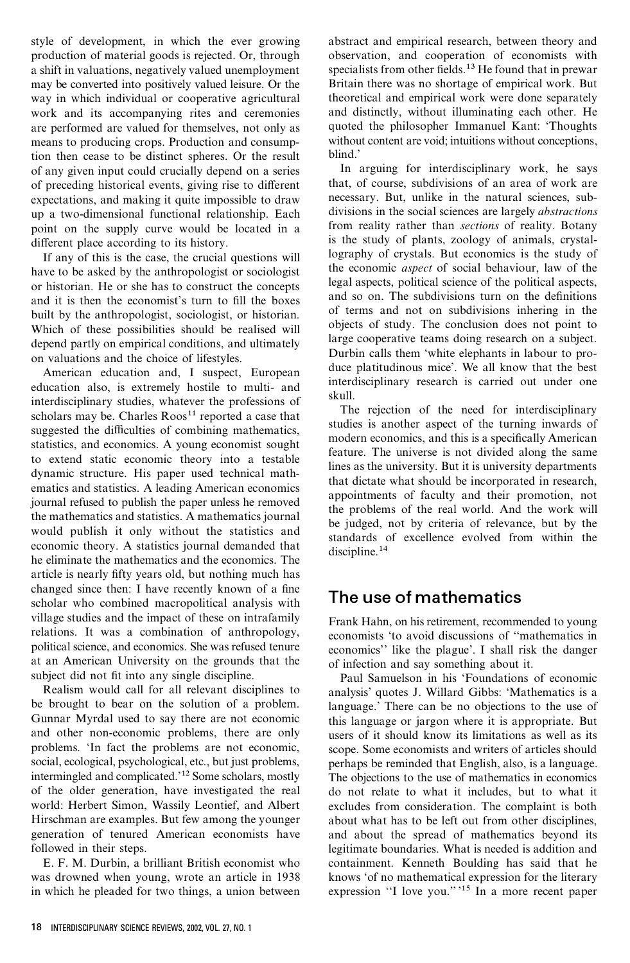style of development, in which the ever growing abstract and empirical research, between theory and production of material goods is rejected. Or, through observation, and cooperation of economists with a shift in valuations, negatively valued unemployment specialists from other fields.<sup>13</sup> He found that in prewar may be converted into positively valued leisure. Or the Britain there was no shortage of empirical work. But way in which individual or cooperative agricultural theoretical and empirical work were done separately work and its accompanying rites and ceremonies and distinctly, without illuminating each other. He are performed are valued for themselves, not only as quoted the philosopher Immanuel Kant: 'Thoughts means to producing crops. Production and consump-<br>tion then cease to be distinct spheres. Or the result blind.<br>blind. tion then cease to be distinct spheres. Or the result blind.<sup>'</sup><br>of any given input could crucially depend on a series In arguing for interdisciplinary work, he says of any given input could crucially depend on a series in arguing for interdisciplinary work, he says of preceding historical events giving rise to different that, of course, subdivisions of an area of work are of preceding historical events, giving rise to different that, of course, subdivisions of an area of work are<br>expectations and making it quite impossible to draw enecessary. But, unlike in the natural sciences, subexpectations, and making it quite impossible to draw necessary. But, unlike in the natural sciences, sub-<br>up a two-dimensional functional relationship. Each divisions in the social sciences are largely *abstractions* up a two-dimensional functional relationship. Each divisions in the social sciences are largely *abstractions*<br>noint on the supply curve would be located in a from reality rather than *sections* of reality. Botany point on the supply curve would be located in a

have to be asked by the anthropologist or sociologist the economic *aspect* of social behaviour, law of the origin or bistorian. He or she has to construct the concents legal aspects, political science of the political asp In the political science of the political aspects, or historian. He or she has to construct the concepts and so on. The subdivisions turn on the definitions has the explored of terms and not on subdivisions inhering in the built by the anthropologist, sociologist, or historian. The built by the anthropologist, sociologist, or historian. Build be built by the conclusion does not point to Which of these possibilities should be realised will objects of study. The conclusion does not point to opened partly on empirical conditions, and ultimately are cooperative teams doing research on a subject.

education also, is extremely hostile to multi- and<br>interdisciplinary research is carried out under one<br>interdisciplinary studies, whatever the professions of<br>skull.<br>scholars may be. Charles Roos<sup>11</sup> reported a case that<br>st article is nearly fifty years old, but nothing much has changed since then: I have recently known of a fine scholar who combined macropolitical analysis with **The use of mathematics** village studies and the impact of these on intrafamily<br>relations. It was a combination of anthropology, economists 'to avoid discussions of "mathematics in relations. It was a combination of anthropology, economists 'to avoid discussions of "mathematics in political science, and economics. She was refused tenure economics' like the plague'. I shall risk the danger at an American University on the grounds that the of infection and say something about it.<br>subject did not fit into any single discipline. Paul Samuelson in his 'Foundations

Realism would call for all relevant disciplines to analysis' quotes J. Willard Gibbs: 'Mathematics is a be brought to bear on the solution of a problem. In anguage.' There can be no objections to the use of be brought to bear on the solution of a problem. language.' There can be no objections to the use of Gunnar Myrdal used to say there are not economic this language or jargon where it is appropriate. But Gunnar Myrdal used to say there are not economic this language or jargon where it is appropriate. But and other non-economic problems, there are only users of it should know its limitations as well as its problems. 'In fact the problems are not economic, scope. Some economists and writers of articles should social, ecological, psychological, etc., but just problems, perhaps be reminded that English, also, is a language. social, ecological, psychological, etc., but just problems, perhaps be reminded that English, also, is a language.<br>intermingled and complicated.<sup>12</sup> Some scholars, mostly The objections to the use of mathematics in economi of the older generation, have investigated the real do not relate to what it includes, but to what it world: Herbert Simon, Wassily Leontief, and Albert excludes from consideration. The complaint is both Hirschman are examples. But few among the younger about what has to be left out from other disciplines, generation of tenured American economists have and about the spread of mathematics beyond its

was drowned when young, wrote an article in 1938 knows 'of no mathematical expression for the literary

different place according to its history.<br>
If any of this is the case, the crucial questions will lography of crystals. But economics is the study of If any of this is the case, the crucial questions will lography of crystals. But economics is the study of If any of the economic aspect of social behaviour, law of the vectors is the study of the economic aspect of social depend partly on empirical conditions, and ultimately<br>on valuations and the choice of lifestyles.<br>American education and, I suspect, European<br>advantion also is antromaly bostile to multi and<br>advantion also is antropoly bos

economics'' like the plague'. I shall risk the danger

Paul Samuelson in his 'Foundations of economic users of it should know its limitations as well as its The objections to the use of mathematics in economics followed in their steps. legitimate boundaries. What is needed is addition and E. F. M. Durbin, a brilliant British economist who containment. Kenneth Boulding has said that he in which he pleaded for two things, a union between expression "I love you."<sup>15</sup> In a more recent paper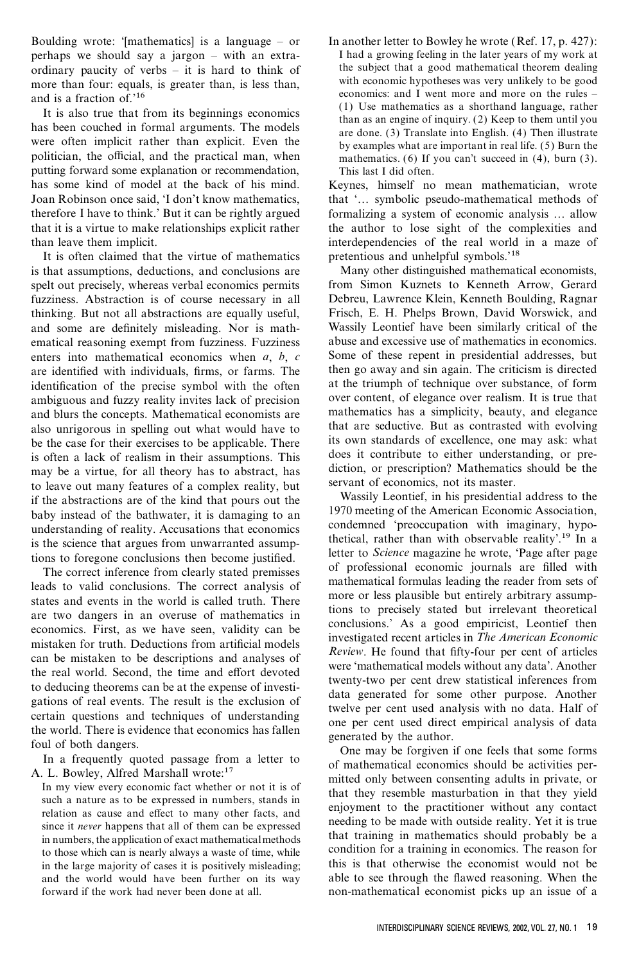Boulding wrote: '[mathematics] is a language – or In another letter to Bowley he wrote (Ref. 17, p. 427): perhaps we should say a jargon – with an extra-<br>
I had a growing feeling in the later years of my work at<br>
ordinary paucity of verbs – it is hard to think of<br>
the subject that a good mathematical theorem dealing ordinary paucity of verbs – it is hard to think of the subject that a good mathematical theorem dealing more than four: equals is greater than is less than with economic hypotheses was very unlikely to be good

mas been couched in formal arguments. The models<br>were often implicit rather than explicit. Even the by examples what are important in real life. (5) Burn the<br>politician, the official, and the practical man, when mathematic putting forward some explanation or recommendation, This last I did often.<br>has some kind of model at the back of his mind. Keynes, himself no Joan Robinson once said, 'I don't know mathematics, that '… symbolic pseudo-mathematical methods of therefore I have to think.' But it can be rightly argued formalizing a system of economic analysis … allow that it is a virtue to make relationships explicit rather the author to lose sight of the complexities and than leave them implicit. interdependencies of the real world in a maze of

It is often claimed that the virtue of mathematics pretentious and unhelpful symbols.<sup>'18</sup> is that assumptions, deductions, and conclusions are Many other distinguished mathematical economists, spelt out precisely, whereas verbal economics permits from Simon Kuznets to Kenneth Arrow, Gerard fuzziness. Abstraction is of course necessary in all Debreu, Lawrence Klein, Kenneth Boulding, Ragnar fuzziness. Abstraction is of course necessary in all thinking. But not all abstractions are equally useful, Frisch, E. H. Phelps Brown, David Worswick, and and some are definitely misleading. Nor is math-<br>ematical reasoning exempt from fuzziness. Fuzziness abuse and excessive use of mathematics in economics. ematical reasoning exempt from fuzziness. Fuzziness abuse and excessive use of mathematics in economics.<br>enters into mathematical economics when a, b, c Some of these repent in presidential addresses, but enters into mathematical economics when *a*, *b*, *c* are identified with individuals, firms, or farms. The then go away and sin again. The criticism is directed identification of the precise symbol with the often at the triumph of technique over substance, of form identification of the precise symbol with the often at the triumph of technique over substance, of form<br>ambiguous and fuzzy reality invites lack of precision over content, of elegance over realism. It is true that ambiguous and fuzzy reality invites lack of precision over content, of elegance over realism. It is true that and blurs the concents. Mathematical economists are mathematics has a simplicity, beauty, and elegance and blurs the concepts. Mathematical economists are mathematics has a simplicity, beauty, and elegance also unrinorous in spelling out what would have to that are seductive. But as contrasted with evolving also unrigorous in spelling out what would have to that are seductive. But as contrasted with evolving<br>he the case for their exercises to be applicable. There its own standards of excellence, one may ask: what be the case for their exercises to be applicable. There the case it contribute to either understanding, or preis often a lack of realism in their assumptions. This does it contribute to either understanding, or pre-<br>may be a virtue for all theory has to abstract has diction, or prescription? Mathematics should be the may be a virtue, for all theory has to abstract, has diction, or prescription? Mathematic<br>to leave out many features of a complex reality but servant of economics, not its master. to leave out many features of a complex reality, but servant of economics, not its master.<br>if the obstractions are of the kind that pours out the Wassily Leontief, in his presidential address to the if the abstractions are of the kind that pours out the individual was used to the instead of the hathwater it is democing to an improvement of the American Economic Association, baby instead of the bathwater, it is damaging to an condemned 'preoccupation with imaginary, hypo-<br>understanding of reality. Accusations that economics is the science that argues from unwarranted assump-

The correct inference from clearly stated premisses and conclusions. The correct analysis of mathematical formulas leading the reader from sets of the reader from sets of the reader from sets of the reader in the world is states and events in the world is called truth. There are two dangers in an overuse of mathematics in<br>economics. First, as we have seen, validity can be<br>mistaken for truth. Deductions from artificial models<br>mistaken for truth. Deductions from artificial models<br>Review. He foun can be mistaken to be descriptions and analyses of were 'mathematical models without any data'. Another<br>the real world. Second, the time and effort devoted<br>the real world. Second, the time and effort devoted<br>twenty-two per cent drew statistical inferences from the real world. Second, the time and chord devoted<br>to deducing theorems can be at the expense of investi-<br>gations of real events. The result is the exclusion of<br>certain questions and techniques of understanding<br>the world.

in the large majority of cases it is positively misleading;

more than four: equals, is greater than, is less than,<br>and is a fraction of.<sup>16</sup><br>It is also true that from its beginnings economics<br>has been couched in formal arguments. The models<br>has been couched in formal arguments. The mathematics. (6) If you can't succeed in (4), burn (3).

Keynes, himself no mean mathematician, wrote

thetical, rather than with observable reality'.19 In a letter to *Science* magazine he wrote, 'Page after page tions to foregone conclusions then become justified.<br>The correct informed from clearly stated promises of professional economic journals are filled with tions to precisely stated but irrelevant theoretical

In a frequently quoted passage from a letter to<br>
A. L. Bowley, Alfred Marshall wrote:<sup>17</sup><br>
In my view every economic fact whether or not it is of<br>
In my view every economic fact whether or not it is of<br>
In the doubly betwe a such a nature as to be expressed in numbers, stands in that they resemble masturbation in that they yield<br>relation as cause and effect to many other facts, and<br>since it never happens that all of them can be expressed and that training in mathematics should probably be a in numbers, the application of exact mathematicalmethods that training in mathematics should probably be a to those which can is nearly always a waste of time, while condition for a training in economics. The reason for<br>in the large majority of cases it is nositively misleading. This is that otherwise the economist would not be and the world would have been further on its way able to see through the flawed reasoning. When the forward if the work had never been done at all. non-mathematical economist picks up an issue of a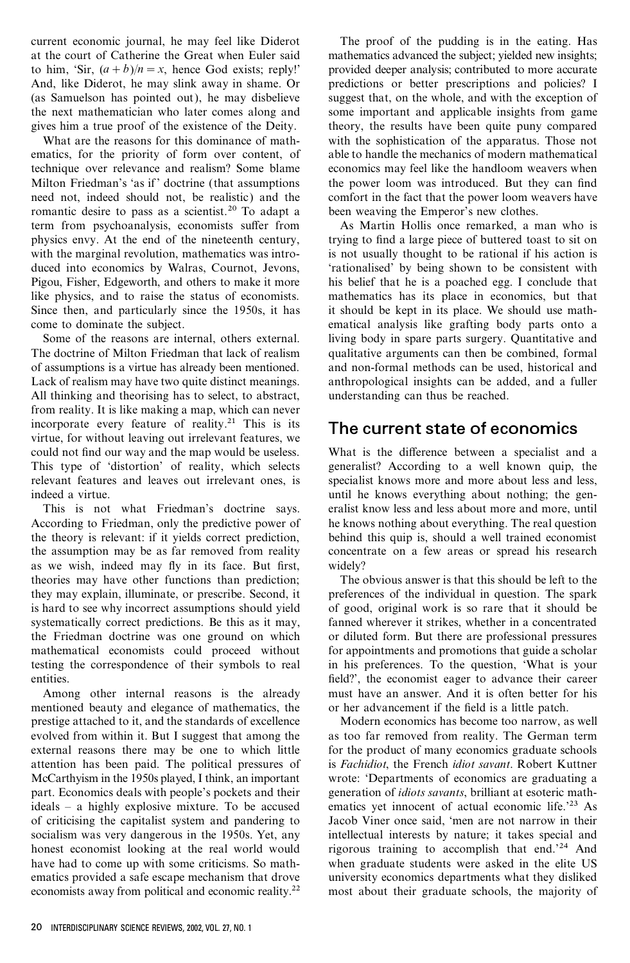current economic journal, he may feel like Diderot The proof of the pudding is in the eating. Has at the court of Catherine the Great when Euler said mathematics advanced the subject; yielded new insights; to him, 'Sir,  $(a + b)/n = x$ , hence God exists; reply!' provided deeper analysis; contributed to more accurate And, like Diderot, he may slink away in shame. Or predictions or better prescriptions and policies? I (as Samuelson has pointed out), he may disbelieve suggest that, on the whole, and with the exception of the next mathematician who later comes along and some important and applicable insights from game gives him a true proof of the existence of the Deity. theory, the results have been quite puny compared

ematics, for the priority of form over content, of able to handle the mechanics of modern mathematical technique over relevance and realism? Some blame economics may feel like the handloom weavers when Milton Friedman's 'as if' doctrine (that assumptions the power loom was introduced. But they can find need not, indeed should not, be realistic) and the comfort in the fact that the power loom weavers have romantic desire to pass as a scientist.<sup>20</sup> To adapt a been weaving the Emperor's new clothes. term from psychoanalysis, economists suffer from As Martin Hollis once remarked, a man who is physics envy. At the end of the nineteenth century, trying to find a large piece of buttered toast to sit on with the marginal revolution, mathematics was intro- is not usually thought to be rational if his action is duced into economics by Walras, Cournot, Jevons, 'rationalised' by being shown to be consistent with Pigou, Fisher, Edgeworth, and others to make it more his belief that he is a poached egg. I conclude that like physics, and to raise the status of economists. mathematics has its place in economics, but that Since then, and particularly since the 1950s, it has it should be kept in its place. We should use math-

The doctrine of Milton Friedman that lack of realism qualitative arguments can then be combined, formal of assumptions is a virtue has already been mentioned. and non-formal methods can be used, historical and Lack of realism may have two quite distinct meanings. anthropological insights can be added, and a fuller All thinking and theorising has to select, to abstract, understanding can thus be reached. from reality. It is like making a map, which can never incorporate every feature of reality.<sup>21</sup> This is its **The current state of economics** virtue, for without leaving out irrelevant features, we could not find our way and the map would be useless. What is the difference between a specialist and a This type of 'distortion' of reality, which selects generalist? According to a well known quip, the relevant features and leaves out irrelevant ones, is specialist knows more and more about less and less, indeed a virtue.

According to Friedman, only the predictive power of he knows nothing about everything. The real question the theory is relevant: if it yields correct prediction, behind this quip is, should a well trained economist the assumption may be as far removed from reality concentrate on a few areas or spread his research as we wish, indeed may fly in its face. But first, widely? theories may have other functions than prediction; The obvious answer is that this should be left to the they may explain, illuminate, or prescribe. Second, it preferences of the individual in question. The spark is hard to see why incorrect assumptions should yield of good, original work is so rare that it should be systematically correct predictions. Be this as it may, fanned wherever it strikes, whether in a concentrated the Friedman doctrine was one ground on which or diluted form. But there are professional pressures mathematical economists could proceed without for appointments and promotions that guide a scholar testing the correspondence of their symbols to real in his preferences. To the question, 'What is your entities.  $\text{field?}, \text{ the economist eager to advance their career}$ 

mentioned beauty and elegance of mathematics, the or her advancement if the field is a little patch. prestige attached to it, and the standards of excellence Modern economics has become too narrow, as well evolved from within it. But I suggest that among the as too far removed from reality. The German term external reasons there may be one to which little for the product of many economics graduate schools attention has been paid. The political pressures of is *Fachidiot*, the French *idiot savant*. Robert Kuttner McCarthyism in the 1950s played, I think, an important wrote: 'Departments of economics are graduating a part. Economics deals with people's pockets and their generation of *idiots savants*, brilliant at esoteric mathideals – a highly explosive mixture. To be accused ematics yet innocent of actual economic life.'23 As of criticising the capitalist system and pandering to Jacob Viner once said, 'men are not narrow in their socialism was very dangerous in the 1950s. Yet, any intellectual interests by nature; it takes special and honest economist looking at the real world would rigorous training to accomplish that end.'<sup>24</sup> And have had to come up with some criticisms. So math-<br>when graduate students were asked in the elite US ematics provided a safe escape mechanism that drove university economics departments what they disliked

What are the reasons for this dominance of math-<br>with the sophistication of the apparatus. Those not

come to dominate the subject. ematical analysis like grafting body parts onto a Some of the reasons are internal, others external. living body in spare parts surgery. Quantitative and

This is not what Friedman's doctrine says. eralist know less and less about more and more, until

Among other internal reasons is the already must have an answer. And it is often better for his

economists away from political and economic reality.<sup>22</sup> most about their graduate schools, the majority of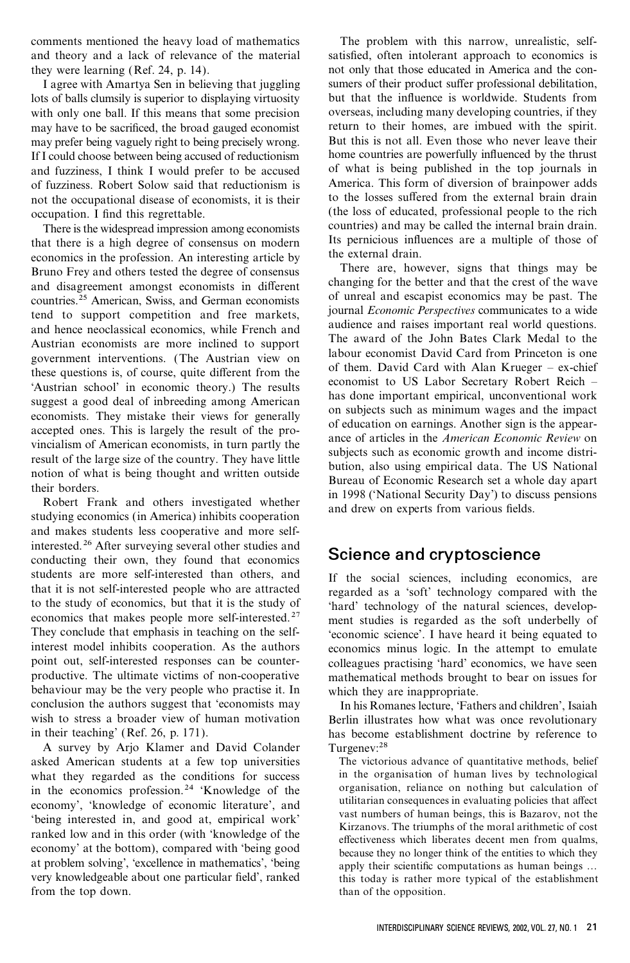comments mentioned the heavy load of mathematics The problem with this narrow, unrealistic, selfand theory and a lack of relevance of the material satisfied, often intolerant approach to economics is they were learning (Ref. 24, p. 14). not only that those educated in America and the con-

lots of balls clumsily is superior to displaying virtuosity but that the influence is worldwide. Students from with only one ball. If this means that some precision overseas, including many developing countries, if they may have to be sacrificed, the broad gauged economist return to their homes, are imbued with the spirit. may prefer being vaguely right to being precisely wrong. But this is not all. Even those who never leave their If I could choose between being accused of reductionism home countries are powerfully influenced by the thrust and fuzziness. I think I would prefer to be accused of what is being published in the top journals in and fuzziness, I think I would prefer to be accused of what is being published in the top journals in of fuzziness. Robert Solow said that reductionism is America. This form of diversion of brainpower adds of fuzziness. Robert Solow said that reductionism is **America.** This form of diversion of brainpower adds not the occupational disease of economists it is their to the losses suffered from the external brain drain not the occupational disease of economists, it is their

that there is a high degree of consensus on modern the pernicious influences in the perfection. An interesting orticle by the external drain. economics in the profession. An interesting article by the external drain.<br>Bruno Frey and others tested the degree of consensus There are, however, signs that things may be Bruno Frey and others tested the degree of consensus There are, however, signs that things may be and disagreement amongst economists in different changing for the better and that the crest of the wave and disagreement amongst economists in different changing for the better and that the crest of the wave<br>countries <sup>25</sup> American Swiss and German economists of unreal and escapist economics may be past. The countries.<sup>25</sup> American, Swiss, and German economists of unreal and escapist economics may be past. The countries are communicated to a wide tend to support competition and free markets,<br>and hence neoclassical economics, while French and audience and raises important real world questions.<br>The award of the John Bates Clark Medal to the Austrian economists are more inclined to support<br>about economist David Card from Princeton is one government interventions. (The Austrian view on about economist David Card from Princeton is one<br>these questions is of gourse quite different from the of them. David Card with Alan Krueger – ex-chief these questions is, of course, quite different from the 'Austrian school' in economic theory.) The results has done important empirical, unconventional work has done important empirical, unconventional work on subjects such as minimum wages and the impact

and makes students less cooperative and more selfinterested.26 After surveying several other studies and conducting their own, they found that economics **Science and cryptoscience** students are more self-interested than others, and If the social sciences, including economics, are that it is not self-interested people who are attracted regarded as a 'soft' technology compared with the to the study of economics, but that it is the study of economics that makes people more self-interested.<sup>27</sup> ment studies is regarded as the soft underbelly of They conclude that emphasis in teaching on the self-<br>interest model inhibits cooperation. As the authors<br>economics minus logic. In the attempt to emulate interest model inhibits cooperation. As the authors economics minus logic. In the attempt to emulate point out, self-interested responses can be counter-<br>colleagues practising 'hard' economics, we have seen productive. The ultimate victims of non-cooperative mathematical methods brought to bear on issues for behaviour may be the very people who practise it. In which they are inappropriate. conclusion the authors suggest that 'economists may In his Romanes lecture, 'Fathers and children', Isaiah wish to stress a broader view of human motivation Berlin illustrates how what was once revolutionary

A survey by Arjo Klamer and David Colander Turgenev:<sup>28</sup> asked American students at a few top universities The victorious advance of quantitative methods, belief what they regarded as the conditions for success in the organisation of human lives by technological in the economics profession  $24$  Knowledge of the conganisation, reliance on nothing but calculation of in the economics profession.<sup>24</sup> 'Knowledge of the companisation, reliance on nothing but calculation of economic literature' and utilitarian consequences in evaluating policies that affect economy', 'knowledge of economic literature', and<br>that was numbers of human beings, this is Bazarov, not the<br>that is easy of economic literature', and<br>a vast numbers of human beings, this is Bazarov, not the vast numbers of human beings, this is Bazarov, not the 'being interested in, and good at, empirical work' Kirzanovs. The triumphs of the moral arithmetic of cost ranked low and in this order (with 'knowledge of the effecti economy' at the bottom), compared with 'being good<br>at problem solving', 'excellence in mathematics', 'being<br>apply their scientific computations as human beings very knowledgeable about one particular field', ranked this today is rather more typical of the establishment from the top down. than of the opposition.

I agree with Amartya Sen in believing that juggling sumers of their product suffer professional debilitation, occupation. I find this regrettable. (the loss of educated, professional people to the rich<br>There is the widespread impression among economists countries) and may be called the internal brain drain. There is the widespread impression among economists countries) and may be called the internal brain drain.<br>Its permicious influences are a multiple of those of

economist to US Labor Secretary Robert Reich – Example their views for generally<br>
accepted ones. This is largely the result of the pro-<br>
vincialism of American economists, in turn partly the<br>
vincialism of American economists, in turn partly the<br>
subjects such as econo

regarded as a 'soft' technology compared with the 'hard' technology of the natural sciences, developcolleagues practising 'hard' economics, we have seen

in their teaching' (Ref. 26, p. 171). has become establishment doctrine by reference to

apply their scientific computations as human beings ...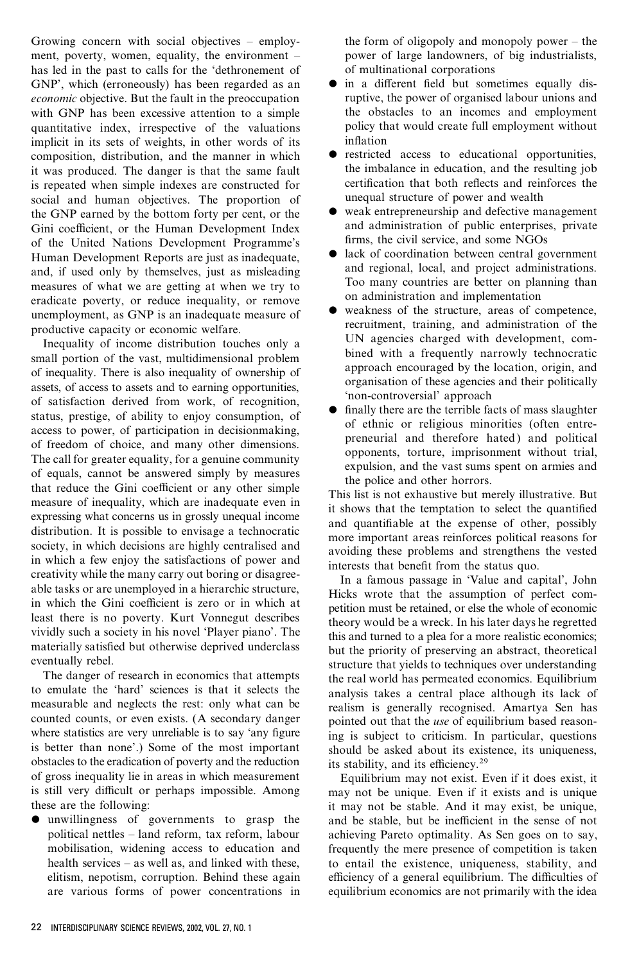Growing concern with social objectives – employ- the form of oligopoly and monopoly power – the ment, poverty, women, equality, the environment – power of large landowners, of big industrialists, has led in the past to calls for the 'dethronement of of multinational corporations<br>GNP', which (erroneously) has been regarded as an  $\bullet$  in a different field but sometimes equally dis-GNP', which (erroneously) has been regarded as an *economic* objective. But the fault in the preoccupation ruptive, the power of organised labour unions and with GNP has been excessive attention to a simple the obstacles to an incomes and employment quantitative index, irrespective of the valuations policy that would create full employment without implicit in its sets of weights, in other words of its  $\qquad$  inflation<br>composition, distribution, and the manner in which  $\qquad$  restricted access to educational opportunities, composition, distribution, and the manner in which  $\bullet$  restricted access to educational opportunities, it was produced. The danger is that the same fault the imbalance in education, and the resulting job it was produced. The danger is that the same fault the imbalance in education, and the resulting job<br>is repeated when simple indexes are constructed for exertification that both reflects and reinforces the is repeated when simple indexes are constructed for exertification that both reflects and reinforces and reinforces the proportion of the unequal structure of power and wealth social and human objectives. The proportion of unequal structure of power and wealth<br>the GNP earned by the bottom forty per cent or the veak entrepreneurship and defective management the GNP earned by the bottom forty per cent, or the weak entrepreneurship and defective management<br>Gini coefficient, or the Human Development Index and administration of public enterprises, private Gini coefficient, or the Human Development Index and administration of public enterprise<br>of the United Nations Development Programme's firms, the civil service, and some NGOs of the United Nations Development Programme's hrms, the civil service, and some NGOs<br>Human Development Reports are just as inadequate <br>
alack of coordination between central government Human Development Reports are just as inadequate,<br>and regional, local, and project administrations.<br>measures of what we are getting at when we try to the many countries are better on planning than measures of what we are getting at when we try to<br>existence inequality or remove on administration and implementation eradicate poverty, or reduce inequality, or remove<br>weakness of the structure, areas of competence,<br>weakness of the structure, areas of competence, unemployment, as GNP is an inadequate measure of

small portion of the vast, multidimensional problem<br>of the vast, multidimensional problem<br>approach encouraged by the location, origin, and<br>approach encouraged by the location, origin, and of inequality. There is also inequality of ownership of approach encouraged by the location, origin, and original original original original original original original original original original original original original assets, of access to assets and to earning opportunities,<br>of satisfaction derived from work, of recognition,<br>status, prestige, of ability to enjoy consumption, of<br>access to power, of participation in decisionmaking,<br>access access to power, or participation in decisionmalizing, preneurial and therefore hated) and political opponents, torture, imprisonment without trial, The call for greater equality, for a genuine community<br>of equals, cannot be answered simply by measures<br>that reduce the Gini coefficient or any other simple<br>this list is not exhaustive but merely illustrative. But measure of inequality, which are inadequate even in<br>expressing what concerns us in grossly unequal income<br>distribution. It is possible to envisage a technocratic<br>distribution. It is possible to envisage a technocratic<br>more society, in which decisions are highly centralised and avoiding these problems and strengthens the vested<br>in which a few enjoy the satisfactions of power and interests that bangit from the status and In which a few enjoy the satisfactions of power and<br>creativity while the many carry out boring or disagree-<br>able tasks or are unemployed in a hierarchic structure,<br> $\frac{1}{2}$  is the many capital in a famous passage in 'Valu able tasks or are unemployed in a hierarchic structure,<br>in which the Gini coefficient is zero or in which at a natities must be attained as the whole of second is in which the Gini coefficient is zero or in which at petition must be retained, or else the whole of economic<br>least there is no poverty. Kurt Vonnegut describes theory would be a wreck. In his later days be regretted least there is no poverty. Kurt vonnegut describes theory would be a wreck. In his later days he regretted vividly such a society in his novel 'Player piano'. The this and turned to a plea for a more realistic economics: vividly such a society in his novel 'Player piano'. The this and turned to a plea for a more realistic economics; materially satisfied but otherwise deprived underclass but the priority of preserving an abstract, theoretic

to emulate the 'hard' sciences is that it selects the analysis takes a central place although its lack of measurable and neglects the rest: only what can be realism is generally recognised. Amartya Sen has measurable and neglects the rest: only what can be realism is generally recognised. Amartya Sen has counted counts, or even exists. (A secondary danger pointed out that the use of equilibrium based reasoncounted counts, or even exists. (A secondary danger pointed out that the *use* of equilibrium based reason-<br>where statistics are very unreliable is to say 'any figure in *p* is subject to criticism. In particular questions is better than none'.) Some of the most important should be asked about its existence, its uniqueness, obstacles to the eradication of poverty and the reduction its stability, and its efficiency.<sup>29</sup> of gross inequality lie in areas in which measurement Equilibrium may not exist. Even if it does exist, it is still very difficult or perhaps impossible. Among may not be unique. Even if it exists and is unique

- 
- 
- 
- 
- recruitment, training, and administration of the productive capacity or economic welfare.<br>Inequality of income distribution touches only a Inequality of income distribution touches only a<br>head with a frequently narrowly technocratic<br>luminosity of the vest multidimensional problem<br>ined with a frequently narrowly technocratic
	-

eventually rebel.<br>The danger of research in economics that attempts the real world has permeated economics. Equilibrium<br>to emulate the 'hard' sciences is that it selects the analysis takes a central place although its lack ing is subject to criticism. In particular, questions

these are the following:<br> **•** unwillingness of governments to grasp the and be stable, but be inefficient in the sense of not and be stable, but be inefficient in the sense of not political nettles – land reform, tax reform, labour achieving Pareto optimality. As Sen goes on to say, mobilisation, widening access to education and frequently the mere presence of competition is taken health services – as well as, and linked with these, to entail the existence, uniqueness, stability, and elitism, nepotism, corruption. Behind these again efficiency of a general equilibrium. The difficulties of are various forms of power concentrations in equilibrium economics are not primarily with the idea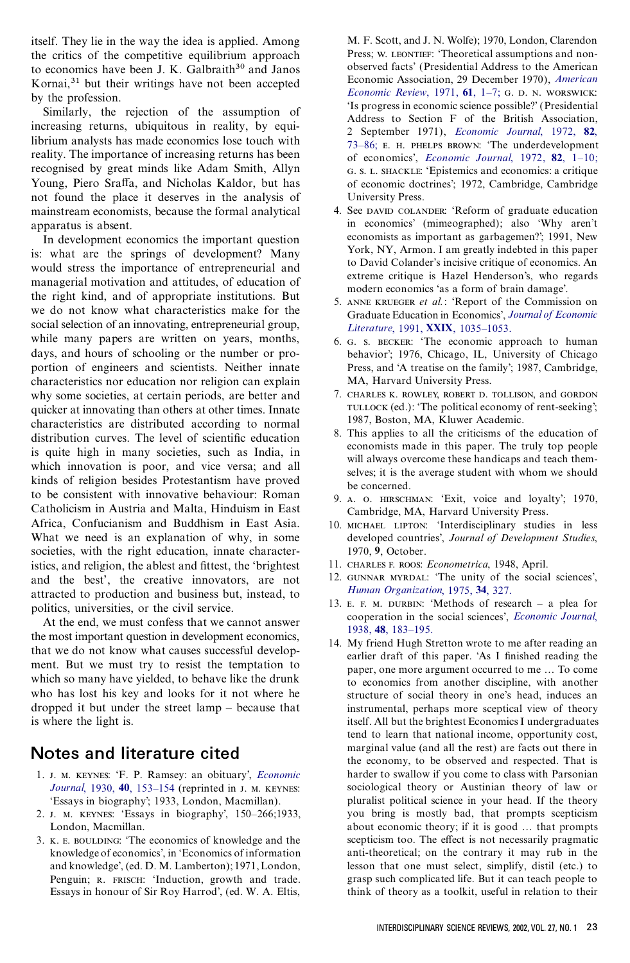itself. They lie in the way the idea is applied. Among M. F. Scott, and J. N. Wolfe); 1970, London, Clarendon the critics of the competitive equilibrium approach<br>to economics have been LK Galbraith<sup>30</sup> and Janos<br>observed facts' (Presidential Address to the American to economics have been J. K. Galbraith<sup>30</sup> and Janos beerved facts' (Presidential Address to the American to experiently their writings have not been accepted Economic Association, 29 December 1970), *American* 

recognised by great minds like Adam Smith, Allyn G. s. L. SHACKLE: 'Epistemics and economics: a critique Young, Piero Sraffa, and Nicholas Kaldor, but has of economic doctrines': 1972. Cambridge. Cambridge not found the place it deserves in the analysis of University Press. mainstream economists, because the formal analytical 4. See DAVID COLANDER: 'Reform of graduate education

is: what are the springs of development? Many<br>work, NY, Armon. I am greatly indebted in this paper<br>to David Colander's incisive critique of economics. An would stress the importance of entrepreneurial and<br>extreme critique is Hazel Henderson's, who regards managerial motivation and attitudes, of education of<br>the right kind, and of appropriate institutions. But<br>we do not know what characteristics make for the<br>Graduate Education in [Economic](http://www.ingentaconnect.com/content/external-references?article=/0022-0515^281991^2929L.1035[aid=2328051])s', Journal of Economic social selection of an innovating, entrepreneurial group,<br>while many papers are written on years, months,<br>6. G. S. BECKER: The economic approximately while many papers are written on years, months,  $\frac{6.6}{6.6}$  s. BECKER: 'The economic approach to human days, and hours of schooling or the number or pro-<br>behavior': 1976, Chicago, IL, University of Chicago portion of engineers and scientists. Neither innate Press, and 'A treatise on the family'; 1987, Cambridge, characteristics nor education nor religion can explain MA, Harvard University Press. why some societies, at certain periods, are better and  $\frac{7. \text{ CHARLES K. ROWLEY, ROBERT D. TOLLSON, and GORDON}}{\text{TULLock (ed.): 'The political economy of rent-seeking'; }}$ quicker at innovating than others at other times. Innate TULLOCK (ed.): The political economy<br>characteristics, are distributed, according to normal 1987, Boston, MA, Kluwer Academic. characteristics are distributed according to normal 1987, Boston, MA, Kluwer Academic.<br>
<sup>1987</sup>, Boston, MA, Kluwer Academic.<br>
<sup>1987</sup>, Boston, MA, Kluwer Academic. distribution curves. The level of scientific education of the applies to all the criticisms of the education of distribution curves. The level of scientific education of  $\frac{1}{2}$  economists made in this paper. The truly t is quite high in many societies, such as India, in<br>which innovation is poor, and vice versa; and all<br>kinds of religion besides Protestantism have proved<br>to be consistent with innovative behaviour: Roman<br>to be consistent wi Catholicism in Austria and Malta, Hinduism in East Cambridge, MA, Harvard University Press. What we need is an explanation of why, in some developed countries', *Journal of Development Studies*, societies, with the right education, innate character- 1970, **9**, October. 11. CHARLES F. ROOS: *Econometrica*, 1948, April.<br>
21. CHARLES F. ROOS: *Econometrica*, 1948, April.<br>
21. GUNNAR MYRDAL: 'The unity of the social sciences', and the best', the creative innovators, are not  $\frac{12. \text{ GUNNAR MYRDAL:}}{Human Organization}$ , 1975, 34, 327. attracted to production and business but, instead, to

At the end, we must confess that we cannot answer<br>the most important question in development economics,<br>that we do not know what causes successful develop-<br>that we do not know what causes successful develop-<br>earlier draft ment. But we must try to resist the temptation to<br>paper, one more argument occurred to me ... To come<br>to economics from another discipline, with another who has lost his key and looks for it not where he structure of social theory in one's head, induces an dropped it but under the street lamp – because that instrumental, perhaps more sceptical view of theory is where the light is. itself. All but the brightest Economics I undergraduates

- 
- 
- 

Economic Association, 29 December 1970), [American](http://www.ingentaconnect.com/content/external-references?article=/0002-8282^281971^2961L.1[aid=1352115])<br>by the profession.<br>Imilarly, the rejection of the assumption of<br>increasing returns, ubiquitous in reality, by equi-<br>librium analysts has made economics lose touch with<br>real of economic doctrines'; 1972, Cambridge, Cambridge

- apparatus is absent.<br>In development economics the important question<br>In development economics the important question<br>economists as important as garbagemen?; 1991, New In development economics the important question economists as important as garbagemen?'; 1991, New<br>what are the springs of development? Many York, NY, Armon. I am greatly indebted in this paper
	-
	- behavior'; 1976, Chicago, IL, University of Chicago
	-
	-
	- 9. A. O. HIRSCHMAN: 'Exit, voice and loyalty'; 1970,
	- 10. MICHAEL LIPTON: 'Interdisciplinary studies in less
	-
	-
- 13. E. F. M. DURBIN: 'Methods of research a plea for politics, universities, or the civil service.<br>
21. E. F. M. DURBIN: 'Methods of research a plea for contraction in the social sciences', *Economic Journal*,
- tend to learn that national income, opportunity cost, **Notes and literature cited** marginal value (and all the rest) are facts out there in the economy, to be observed and respected. That is 1. j. m. keynes: 'F. P. Ramsey: an obituary', *[Economic](http://www.ingentaconnect.com/content/external-references?article=/0013-0133^281930^2940L.153[aid=2328048])* harder to swallow if you come to class with Parsonian *Journal*, 1930, **40**, [153–154](http://www.ingentaconnect.com/content/external-references?article=/0013-0133^281930^2940L.153[aid=2328048]) (reprinted in j. m. keynes: sociological theory or Austinian theory of law or 'Essays in biography'; 1933, London, Macmillan). pluralist political science in your head. If the theory 2. j. m. keynes: 'Essays in biography', 150–266;1933, you bring is mostly bad, that prompts scepticism London, Macmillan. about economic theory; if it is good ... that prompts 3. K. E. BOULDING: 'The economics of knowledge and the scepticism too. The effect is not necessarily pragmatic knowledge of economics', in 'Economics of information anti-theoretical; on the contrary it may rub in the and knowledge', (ed. D. M. Lamberton); 1971,London, lesson that one must select, simplify, distil (etc.) to Penguin; R. FRISCH: 'Induction, growth and trade. grasp such complicated life. But it can teach people to Essays in honour of Sir Roy Harrod', (ed. W. A. Eltis, think of theory as a toolkit, useful in relation to their